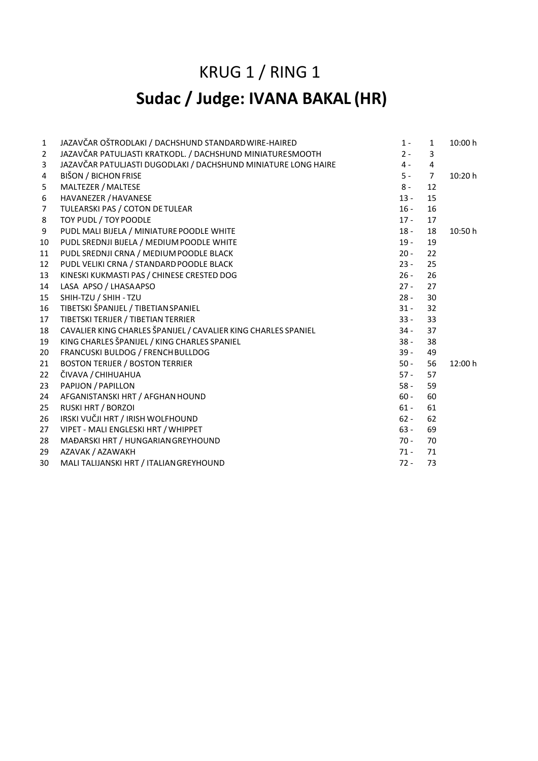### KRUG 1 / RING 1

### **Sudac / Judge: IVANA BAKAL (HR)**

| $\mathbf{1}$   | JAZAVČAR OŠTRODLAKI / DACHSHUND STANDARD WIRE-HAIRED           | $1 -$  | $\mathbf{1}$   | 10:00 h |
|----------------|----------------------------------------------------------------|--------|----------------|---------|
| $\overline{2}$ | JAZAVČAR PATULJASTI KRATKODL. / DACHSHUND MINIATURESMOOTH      | $2 -$  | 3              |         |
| 3              | JAZAVČAR PATULJASTI DUGODLAKI / DACHSHUND MINIATURE LONG HAIRE | $4 -$  | 4              |         |
| 4              | <b>BIŠON / BICHON FRISE</b>                                    | $5 -$  | $\overline{7}$ | 10:20 h |
| 5              | MALTEZER / MALTESE                                             | $8 -$  | 12             |         |
| 6              | HAVANEZER / HAVANESE                                           | $13 -$ | 15             |         |
| $\overline{7}$ | TULEARSKI PAS / COTON DE TULEAR                                | $16 -$ | 16             |         |
| 8              | TOY PUDL / TOY POODLE                                          | $17 -$ | 17             |         |
| 9              | PUDL MALI BIJELA / MINIATURE POODLE WHITE                      | $18 -$ | 18             | 10:50 h |
| 10             | PUDL SREDNJI BIJELA / MEDIUM POODLE WHITE                      | $19 -$ | 19             |         |
| 11             | PUDL SREDNJI CRNA / MEDIUM POODLE BLACK                        | $20 -$ | 22             |         |
| 12             | PUDL VELIKI CRNA / STANDARD POODLE BLACK                       | $23 -$ | 25             |         |
| 13             | KINESKI KUKMASTI PAS / CHINESE CRESTED DOG                     | $26 -$ | 26             |         |
| 14             | LASA APSO / LHASAAPSO                                          | $27 -$ | 27             |         |
| 15             | SHIH-TZU / SHIH - TZU                                          | $28 -$ | 30             |         |
| 16             | TIBETSKI ŠPANIJEL / TIBETIAN SPANIEL                           | $31 -$ | 32             |         |
| 17             | TIBETSKI TERIJER / TIBETIAN TERRIER                            | $33 -$ | 33             |         |
| 18             | CAVALIER KING CHARLES ŠPANIJEL / CAVALIER KING CHARLES SPANIEL | $34 -$ | 37             |         |
| 19             | KING CHARLES ŠPANIJEL / KING CHARLES SPANIEL                   | $38 -$ | 38             |         |
| 20             | FRANCUSKI BULDOG / FRENCH BULLDOG                              | $39 -$ | 49             |         |
| 21             | <b>BOSTON TERIJER / BOSTON TERRIER</b>                         | $50 -$ | 56             | 12:00 h |
| 22             | ČIVAVA / CHIHUAHUA                                             | $57 -$ | 57             |         |
| 23             | PAPIJON / PAPILLON                                             | $58 -$ | 59             |         |
| 24             | AFGANISTANSKI HRT / AFGHAN HOUND                               | $60 -$ | 60             |         |
| 25             | <b>RUSKI HRT / BORZOI</b>                                      | $61 -$ | 61             |         |
| 26             | IRSKI VUČJI HRT / IRISH WOLFHOUND                              | $62 -$ | 62             |         |
| 27             | VIPET - MALI ENGLESKI HRT / WHIPPET                            | $63 -$ | 69             |         |
| 28             | MAĐARSKI HRT / HUNGARIAN GREYHOUND                             | $70 -$ | 70             |         |
| 29             | AZAVAK / AZAWAKH                                               | $71 -$ | 71             |         |
| 30             | MALI TALIJANSKI HRT / ITALIAN GREYHOUND                        | $72 -$ | 73             |         |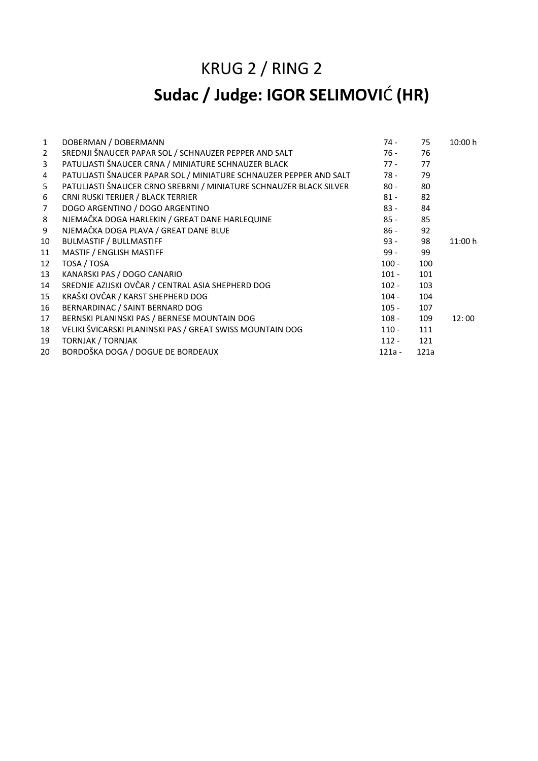### KRUG 2 / RING 2

## **Sudac / Judge: IGOR SELIMOVI**Ć **(HR)**

| $\mathbf{1}$   | DOBERMAN / DOBERMANN                                               | $74 -$   | 75   | 10:00 h |
|----------------|--------------------------------------------------------------------|----------|------|---------|
| $\overline{2}$ | SREDNJI ŠNAUCER PAPAR SOL / SCHNAUZER PEPPER AND SALT              | $76 -$   | 76   |         |
| 3              | PATULJASTI ŠNAUCER CRNA / MINIATURE SCHNAUZER BLACK                | $77 -$   | 77   |         |
| 4              | PATULJASTI ŠNAUCER PAPAR SOL / MINIATURE SCHNAUZER PEPPER AND SALT | 78 -     | 79   |         |
| 5              | PATULJASTI ŠNAUCER CRNO SREBRNI / MINIATURE SCHNAUZER BLACK SILVER | $80 -$   | 80   |         |
| 6              | CRNI RUSKI TERIJER / BLACK TERRIER                                 | $81 -$   | 82   |         |
| $\overline{7}$ | DOGO ARGENTINO / DOGO ARGENTINO                                    | $83 -$   | 84   |         |
| 8              | NJEMAČKA DOGA HARLEKIN / GREAT DANE HARLEQUINE                     | $85 -$   | 85   |         |
| 9              | NJEMAČKA DOGA PLAVA / GREAT DANE BLUE                              | $86 -$   | 92   |         |
| 10             | <b>BULMASTIF / BULLMASTIFF</b>                                     | $93 -$   | 98   | 11:00 h |
| 11             | MASTIF / ENGLISH MASTIFF                                           | 99 -     | 99   |         |
| 12             | TOSA / TOSA                                                        | $100 -$  | 100  |         |
| 13             | KANARSKI PAS / DOGO CANARIO                                        | $101 -$  | 101  |         |
| 14             | SREDNJE AZIJSKI OVČAR / CENTRAL ASIA SHEPHERD DOG                  | $102 -$  | 103  |         |
| 15             | KRAŠKI OVČAR / KARST SHEPHERD DOG                                  | $104 -$  | 104  |         |
| 16             | BERNARDINAC / SAINT BERNARD DOG                                    | $105 -$  | 107  |         |
| 17             | BERNSKI PLANINSKI PAS / BERNESE MOUNTAIN DOG                       | $108 -$  | 109  | 12:00   |
| 18             | VELIKI ŠVICARSKI PLANINSKI PAS / GREAT SWISS MOUNTAIN DOG          | $110 -$  | 111  |         |
| 19             | <b>TORNJAK / TORNJAK</b>                                           | $112 -$  | 121  |         |
| 20             | BORDOŠKA DOGA / DOGUE DE BORDEAUX                                  | $121a -$ | 121a |         |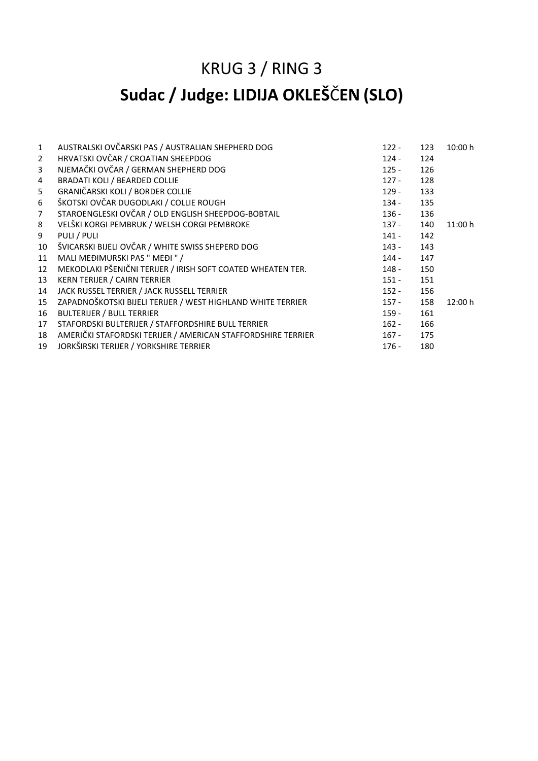### KRUG 3 / RING 3

## **Sudac / Judge: LIDIJA OKLEŠ**Č**EN (SLO)**

| $\mathbf{1}$   | AUSTRALSKI OVČARSKI PAS / AUSTRALIAN SHEPHERD DOG            | $122 -$ | 123 | 10:00 h |
|----------------|--------------------------------------------------------------|---------|-----|---------|
| $\overline{2}$ | HRVATSKI OVČAR / CROATIAN SHEEPDOG                           | $124 -$ | 124 |         |
| 3              | NJEMAČKI OVČAR / GERMAN SHEPHERD DOG                         | $125 -$ | 126 |         |
| $\overline{4}$ | <b>BRADATI KOLI / BEARDED COLLIE</b>                         | $127 -$ | 128 |         |
| 5              | GRANIČARSKI KOLI / BORDER COLLIE                             | $129 -$ | 133 |         |
| 6              | ŠKOTSKI OVČAR DUGODLAKI / COLLIE ROUGH                       | $134 -$ | 135 |         |
| 7 <sup>1</sup> | STAROENGLESKI OVČAR / OLD ENGLISH SHEEPDOG-BOBTAIL           | $136 -$ | 136 |         |
| 8              | VELŠKI KORGI PEMBRUK / WELSH CORGI PEMBROKE                  | $137 -$ | 140 | 11:00 h |
| 9              | PULI / PULI                                                  | $141 -$ | 142 |         |
| 10             | ŠVICARSKI BIJELI OVČAR / WHITE SWISS SHEPERD DOG             | $143 -$ | 143 |         |
| 11             | MALI MEĐIMURSKI PAS " MEĐI " /                               | $144 -$ | 147 |         |
| 12             | MEKODLAKI PŠENIČNI TERIJER / IRISH SOFT COATED WHEATEN TER.  | $148 -$ | 150 |         |
| 13             | <b>KERN TERIJER / CAIRN TERRIER</b>                          | $151 -$ | 151 |         |
| 14             | JACK RUSSEL TERRIER / JACK RUSSELL TERRIER                   | $152 -$ | 156 |         |
| 15             | ZAPADNOŠKOTSKI BIJELI TERIJER / WEST HIGHLAND WHITE TERRIER  | $157 -$ | 158 | 12:00 h |
| 16             | <b>BULTERIJER / BULL TERRIER</b>                             | $159 -$ | 161 |         |
| 17             | STAFORDSKI BULTERIJER / STAFFORDSHIRE BULL TERRIER           | $162 -$ | 166 |         |
| 18             | AMERIČKI STAFORDSKI TERIJER / AMERICAN STAFFORDSHIRE TERRIER | $167 -$ | 175 |         |
| 19             | JORKŠIRSKI TERIJER / YORKSHIRE TERRIER                       | $176 -$ | 180 |         |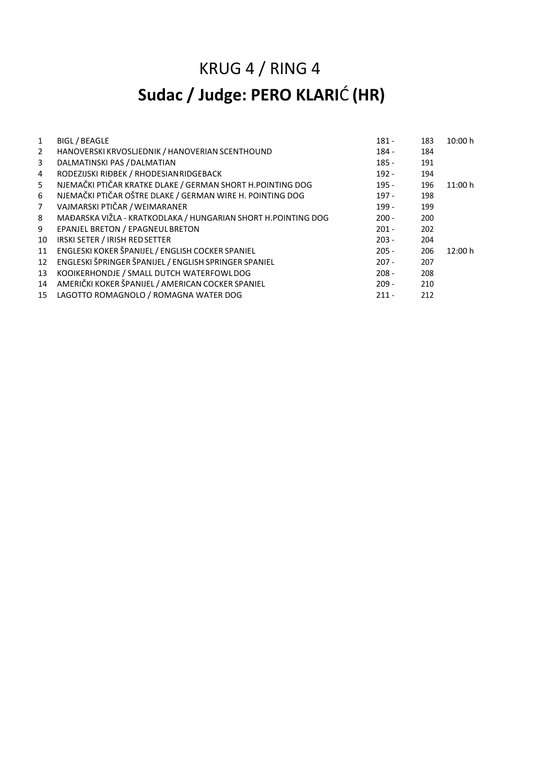# KRUG 4 / RING 4 **Sudac / Judge: PERO KLARI**Ć **(HR)**

| $\mathbf{1}$   | <b>BIGL / BEAGLE</b>                                          | $181 -$ | 183 | 10:00 h |
|----------------|---------------------------------------------------------------|---------|-----|---------|
| $\overline{2}$ | HANOVERSKI KRVOSLJEDNIK / HANOVERIAN SCENTHOUND               | $184 -$ | 184 |         |
| 3              | DALMATINSKI PAS / DALMATIAN                                   | $185 -$ | 191 |         |
| 4              | RODEZIJSKI RIĐBEK / RHODESIANRIDGEBACK                        | $192 -$ | 194 |         |
| 5              | NJEMAČKI PTIČAR KRATKE DLAKE / GERMAN SHORT H.POINTING DOG    | $195 -$ | 196 | 11:00 h |
| 6              | NJEMAČKI PTIČAR OŠTRE DLAKE / GERMAN WIRE H. POINTING DOG     | $197 -$ | 198 |         |
| $7^{\circ}$    | VAJMARSKI PTIČAR / WEIMARANER                                 | $199 -$ | 199 |         |
| 8              | MAĐARSKA VIŽLA - KRATKODLAKA / HUNGARIAN SHORT H.POINTING DOG | $200 -$ | 200 |         |
| 9              | EPANJEL BRETON / EPAGNEUL BRETON                              | $201 -$ | 202 |         |
| 10             | IRSKI SETER / IRISH RED SETTER                                | $203 -$ | 204 |         |
| 11             | ENGLESKI KOKER ŠPANIJEL / ENGLISH COCKER SPANIEL              | $205 -$ | 206 | 12:00 h |
| 12             | ENGLESKI ŠPRINGER ŠPANIJEL / ENGLISH SPRINGER SPANIEL         | $207 -$ | 207 |         |
| 13             | KOOIKERHONDJE / SMALL DUTCH WATERFOWLDOG                      | $208 -$ | 208 |         |
| 14             | AMERIČKI KOKER ŠPANIJEL / AMERICAN COCKER SPANIEL             | $209 -$ | 210 |         |
|                | 15 LAGOTTO ROMAGNOLO / ROMAGNA WATER DOG                      | $211 -$ | 212 |         |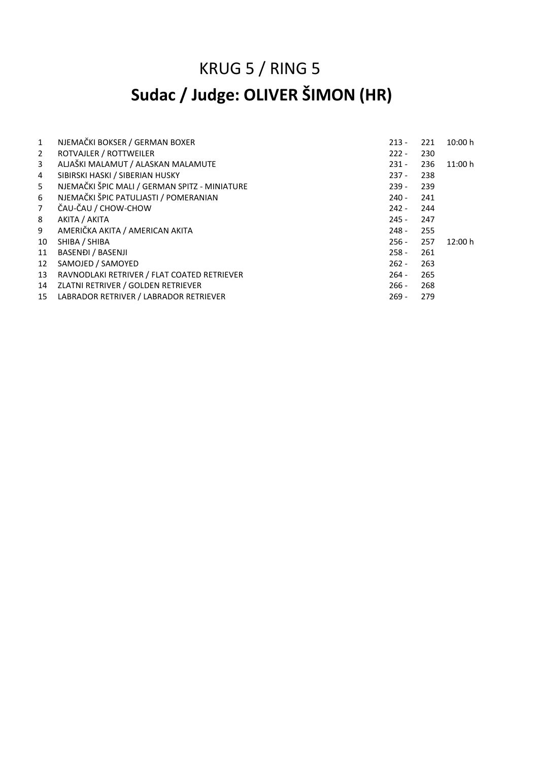# KRUG 5 / RING 5 **Sudac / Judge: OLIVER ŠIMON (HR)**

| $\mathbf{1}$   | NJEMAČKI BOKSER / GERMAN BOXER                | $213 -$ | 221 | 10:00 h |
|----------------|-----------------------------------------------|---------|-----|---------|
| $\overline{2}$ | ROTVAJLER / ROTTWEILER                        | $222 -$ | 230 |         |
| 3              | ALJAŠKI MALAMUT / ALASKAN MALAMUTE            | $231 -$ | 236 | 11:00 h |
| 4              | SIBIRSKI HASKI / SIBERIAN HUSKY               | $237 -$ | 238 |         |
| 5              | NJEMAČKI ŠPIC MALI / GERMAN SPITZ - MINIATURE | $239 -$ | 239 |         |
| 6              | NJEMAČKI ŠPIC PATULJASTI / POMERANIAN         | $240 -$ | 241 |         |
| $\overline{7}$ | ČAU-ČAU / CHOW-CHOW                           | $242 -$ | 244 |         |
| 8              | AKITA / AKITA                                 | $245 -$ | 247 |         |
| 9              | AMERIČKA AKITA / AMERICAN AKITA               | $248 -$ | 255 |         |
| 10             | SHIBA / SHIBA                                 | $256 -$ | 257 | 12:00 h |
| 11             | <b>BASENDI / BASENJI</b>                      | $258 -$ | 261 |         |
| 12             | SAMOJED / SAMOYED                             | $262 -$ | 263 |         |
| 13             | RAVNODLAKI RETRIVER / FLAT COATED RETRIEVER   | $264 -$ | 265 |         |
| 14             | ZLATNI RETRIVER / GOLDEN RETRIEVER            | $266 -$ | 268 |         |
| 15             | LABRADOR RETRIVER / LABRADOR RETRIEVER        | $269 -$ | 279 |         |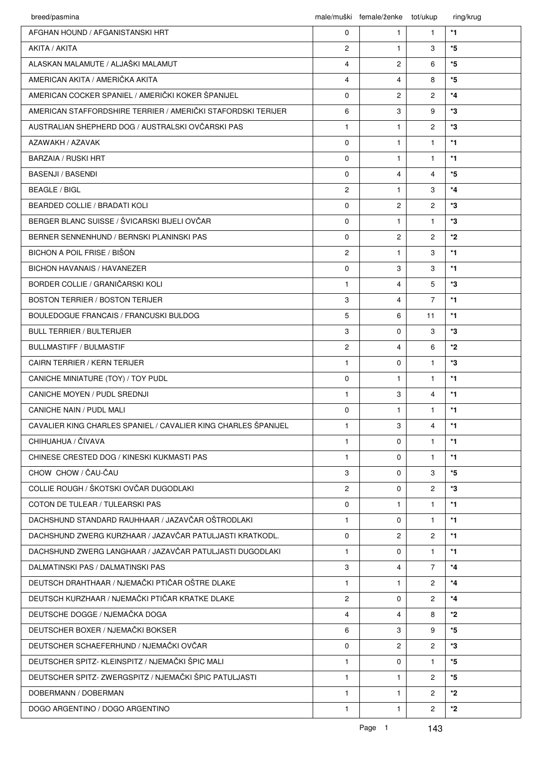| breed/pasmina                                                  |                | male/muški female/ženke | tot/ukup             | ring/krug |
|----------------------------------------------------------------|----------------|-------------------------|----------------------|-----------|
| AFGHAN HOUND / AFGANISTANSKI HRT                               | 0              | 1                       | $\mathbf{1}$         | $*1$      |
| AKITA / AKITA                                                  | $\overline{c}$ | $\mathbf{1}$            | 3                    | $*5$      |
| ALASKAN MALAMUTE / ALJAŠKI MALAMUT                             | 4              | $\overline{c}$          | 6                    | *5        |
| AMERICAN AKITA / AMERIČKA AKITA                                | 4              | 4                       | 8                    | *5        |
| AMERICAN COCKER SPANIEL / AMERIČKI KOKER ŠPANIJEL              | 0              | $\overline{2}$          | $\overline{2}$       | $*_{4}$   |
| AMERICAN STAFFORDSHIRE TERRIER / AMERIČKI STAFORDSKI TERIJER   | 6              | 3                       | 9                    | *3        |
| AUSTRALIAN SHEPHERD DOG / AUSTRALSKI OVČARSKI PAS              | $\mathbf{1}$   | $\mathbf{1}$            | $\overline{2}$       | *3        |
| AZAWAKH / AZAVAK                                               | $\Omega$       | $\mathbf{1}$            | $\mathbf{1}$         | $*1$      |
| <b>BARZAIA / RUSKI HRT</b>                                     | 0              | $\mathbf{1}$            | $\mathbf{1}$         | $*1$      |
| <b>BASENJI / BASENĐI</b>                                       | $\Omega$       | 4                       | $\overline{4}$       | *5        |
| <b>BEAGLE / BIGL</b>                                           | $\overline{c}$ | $\mathbf{1}$            | 3                    | $*_{4}$   |
| <b>BEARDED COLLIE / BRADATI KOLI</b>                           | $\Omega$       | $\overline{c}$          | $\overline{2}$       | *3        |
| BERGER BLANC SUISSE / ŠVICARSKI BIJELI OVČAR                   | 0              | $\mathbf{1}$            | $\mathbf{1}$         | *3        |
| BERNER SENNENHUND / BERNSKI PLANINSKI PAS                      | 0              | $\overline{2}$          | $\overline{2}$       | *2        |
| BICHON A POIL FRISE / BIŠON                                    | $\overline{c}$ | $\mathbf{1}$            | 3                    | $*1$      |
| <b>BICHON HAVANAIS / HAVANEZER</b>                             | 0              | 3                       | 3                    | $*1$      |
| BORDER COLLIE / GRANIČARSKI KOLI                               | $\mathbf{1}$   | 4                       | 5                    | *3        |
| <b>BOSTON TERRIER / BOSTON TERIJER</b>                         | 3              | 4                       | $\overline{7}$       | $*1$      |
| BOULEDOGUE FRANCAIS / FRANCUSKI BULDOG                         | 5              | 6                       | 11                   | $*1$      |
| <b>BULL TERRIER / BULTERIJER</b>                               | 3              | $\Omega$                | 3                    | *3        |
| <b>BULLMASTIFF / BULMASTIF</b>                                 | $\overline{2}$ | 4                       | 6                    | $*_{2}$   |
| <b>CAIRN TERRIER / KERN TERIJER</b>                            | $\mathbf{1}$   | $\Omega$                | $\mathbf{1}$         | *3        |
| CANICHE MINIATURE (TOY) / TOY PUDL                             | 0              | $\mathbf{1}$            | $\mathbf{1}$         | *1        |
| CANICHE MOYEN / PUDL SREDNJI                                   | $\mathbf{1}$   | 3                       | $\overline{4}$       | $*1$      |
| CANICHE NAIN / PUDL MALI                                       | 0              | $\mathbf{1}$            | $\mathbf{1}$         | $*1$      |
| CAVALIER KING CHARLES SPANIEL / CAVALIER KING CHARLES ŠPANIJEL | $\mathbf{1}$   | 3                       | $\overline{4}$       | $*$ 1     |
| CHIHUAHUA / ČIVAVA                                             | $\mathbf{1}$   | $\Omega$                | $\mathbf{1}$         | $*1$      |
| CHINESE CRESTED DOG / KINESKI KUKMASTI PAS                     | $\mathbf{1}$   | 0                       | $\mathbf{1}$         | $*1$      |
| CHOW CHOW / ČAU-ČAU                                            | 3              | $\Omega$                | 3                    | *5        |
| COLLIE ROUGH / ŠKOTSKI OVČAR DUGODLAKI                         | $\overline{2}$ | $\Omega$                | $\overline{2}$       | *3        |
| COTON DE TULEAR / TULEARSKI PAS                                | 0              | $\mathbf{1}$            | $\mathbf{1}$         | $*1$      |
| DACHSHUND STANDARD RAUHHAAR / JAZAVČAR OŠTRODLAKI              | $\mathbf{1}$   | 0                       | $\mathbf{1}$         | $*$ 1     |
| DACHSHUND ZWERG KURZHAAR / JAZAVČAR PATULJASTI KRATKODL.       | 0              | $\overline{2}$          | $\mathbf{2}^{\circ}$ | $*$ 1     |
| DACHSHUND ZWERG LANGHAAR / JAZAVČAR PATULJASTI DUGODLAKI       | $\mathbf{1}$   | $\Omega$                | $\mathbf{1}$         | $*1$      |
| DALMATINSKI PAS / DALMATINSKI PAS                              | 3              | 4                       | $\overline{7}$       | $*_{4}$   |
| DEUTSCH DRAHTHAAR / NJEMAČKI PTIČAR OŠTRE DLAKE                | $\mathbf{1}$   | $\mathbf{1}$            | $\overline{2}$       | $*_{4}$   |
| DEUTSCH KURZHAAR / NJEMAČKI PTIČAR KRATKE DLAKE                | $\overline{2}$ | $\Omega$                | $\overline{2}$       | $*_{4}$   |
| DEUTSCHE DOGGE / NJEMAČKA DOGA                                 | $\overline{4}$ | 4                       | 8                    | $*_{2}$   |
| DEUTSCHER BOXER / NJEMAČKI BOKSER                              | 6              | 3                       | 9                    | *5        |
| DEUTSCHER SCHAEFERHUND / NJEMAČKI OVČAR                        | 0              | $\overline{2}$          | $\overline{2}$       | *3        |
| DEUTSCHER SPITZ- KLEINSPITZ / NJEMAČKI ŠPIC MALI               | $\mathbf{1}$   | $\mathbf 0$             | $\mathbf{1}$         | $*5$      |
| DEUTSCHER SPITZ- ZWERGSPITZ / NJEMAČKI ŠPIC PATULJASTI         | $\mathbf{1}$   | $\mathbf{1}$            | $\overline{2}$       | $*5$      |
| DOBERMANN / DOBERMAN                                           | $\mathbf{1}$   | $\mathbf{1}$            | $\overline{2}$       | $*2$      |
| DOGO ARGENTINO / DOGO ARGENTINO                                | $\mathbf{1}$   | $\mathbf{1}$            | $\mathbf{2}^{\circ}$ | *2        |
|                                                                |                |                         |                      |           |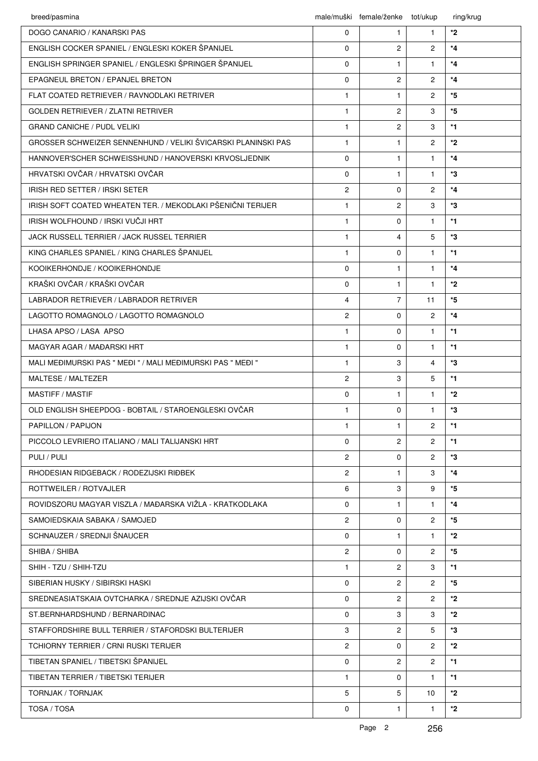| breed/pasmina                                                 |                       | male/muški female/ženke tot/ukup |                | ring/krug  |
|---------------------------------------------------------------|-----------------------|----------------------------------|----------------|------------|
| DOGO CANARIO / KANARSKI PAS                                   | $\mathbf 0$           | $\mathbf{1}$                     | $\mathbf{1}$   | *2         |
| ENGLISH COCKER SPANIEL / ENGLESKI KOKER ŠPANIJEL              | $\Omega$              | $\overline{2}$                   | $\overline{2}$ | $*_{4}$    |
| ENGLISH SPRINGER SPANIEL / ENGLESKI ŠPRINGER ŠPANIJEL         | $\mathbf 0$           | $\mathbf{1}$                     | $\mathbf{1}$   | $*_{4}$    |
| <b>EPAGNEUL BRETON / EPANJEL BRETON</b>                       | $\mathbf 0$           | $\overline{c}$                   | $\overline{2}$ | $*_{4}$    |
| FLAT COATED RETRIEVER / RAVNODLAKI RETRIVER                   | $\mathbf{1}$          | $\mathbf{1}$                     | $\overline{2}$ | *5         |
| <b>GOLDEN RETRIEVER / ZLATNI RETRIVER</b>                     | $\mathbf{1}$          | $\overline{2}$                   | 3              | *5         |
| <b>GRAND CANICHE / PUDL VELIKI</b>                            | $\mathbf{1}$          | $\overline{c}$                   | 3              | *1         |
| GROSSER SCHWEIZER SENNENHUND / VELIKI ŠVICARSKI PLANINSKI PAS | $\mathbf{1}$          | $\mathbf{1}$                     | $\overline{2}$ | $*2$       |
| HANNOVER'SCHER SCHWEISSHUND / HANOVERSKI KRVOSLJEDNIK         | $\Omega$              | $\mathbf{1}$                     | $\mathbf{1}$   | $*_{4}$    |
| HRVATSKI OVČAR / HRVATSKI OVČAR                               | $\Omega$              | $\mathbf{1}$                     | $\mathbf{1}$   | *3         |
| IRISH RED SETTER / IRSKI SETER                                | $\overline{2}$        | 0                                | $\overline{2}$ | $*_{4}$    |
| IRISH SOFT COATED WHEATEN TER. / MEKODLAKI PŠENIČNI TERIJER   | $\mathbf{1}$          | $\overline{c}$                   | 3              | *3         |
| IRISH WOLFHOUND / IRSKI VUČJI HRT                             | $\mathbf{1}$          | 0                                | $\mathbf{1}$   | $*1$       |
| JACK RUSSELL TERRIER / JACK RUSSEL TERRIER                    | $\mathbf{1}$          | 4                                | 5              | *3         |
| KING CHARLES SPANIEL / KING CHARLES ŠPANIJEL                  | $\mathbf{1}$          | 0                                | $\mathbf{1}$   | *1         |
| KOOIKERHONDJE / KOOIKERHONDJE                                 | 0                     | $\mathbf{1}$                     | $\mathbf{1}$   | $*_{4}$    |
| KRAŠKI OVČAR / KRAŠKI OVČAR                                   | 0                     | $\mathbf{1}$                     | $\mathbf{1}$   | $*2$       |
| LABRADOR RETRIEVER / LABRADOR RETRIVER                        | $\overline{4}$        | $\overline{7}$                   | 11             | $^\star 5$ |
| LAGOTTO ROMAGNOLO / LAGOTTO ROMAGNOLO                         | $\overline{2}$        | $\Omega$                         | $\overline{2}$ | $*_{4}$    |
| LHASA APSO / LASA APSO                                        | $\mathbf{1}$          | $\Omega$                         | $\mathbf{1}$   | $*1$       |
| MAGYAR AGAR / MAĐARSKI HRT                                    | $\mathbf{1}$          | 0                                | $\mathbf{1}$   | *1         |
| MALI MEĐIMURSKI PAS " MEĐI " / MALI MEĐIMURSKI PAS " MEĐI "   | $\mathbf{1}$          | 3                                | $\overline{4}$ | *3         |
| MALTESE / MALTEZER                                            | $\overline{2}$        | 3                                | 5              | $*1$       |
| MASTIFF / MASTIF                                              | $\mathbf 0$           | $\mathbf{1}$                     | $\mathbf{1}$   | *2         |
| OLD ENGLISH SHEEPDOG - BOBTAIL / STAROENGLESKI OVČAR          | $\mathbf{1}$          | $\Omega$                         | $\mathbf{1}$   | *3         |
| PAPILLON / PAPIJON                                            | $\mathbf{1}$          | $\mathbf{1}$                     | $\overline{2}$ | $*1$       |
| PICCOLO LEVRIERO ITALIANO / MALI TALIJANSKI HRT               | 0                     | $\overline{c}$                   | $\overline{2}$ | *1         |
| PULI / PULI                                                   | $\overline{2}$        | 0                                | $\overline{2}$ | *3         |
| RHODESIAN RIDGEBACK / RODEZIJSKI RIĐBEK                       | $\overline{2}$        | $\mathbf{1}$                     | 3              | $*_{4}$    |
| ROTTWEILER / ROTVAJLER                                        | 6                     | 3                                | 9              | *5         |
| ROVIDSZORU MAGYAR VISZLA / MAĐARSKA VIŽLA - KRATKODLAKA       | $\Omega$              | $\mathbf{1}$                     | $\mathbf{1}$   | $*_{4}$    |
| SAMOIEDSKAIA SABAKA / SAMOJED                                 | $\overline{2}$        | $\Omega$                         | $\overline{2}$ | *5         |
| SCHNAUZER / SREDNJI ŠNAUCER                                   | 0                     | $\mathbf{1}$                     | $\mathbf{1}$   | *2         |
| SHIBA / SHIBA                                                 | $\mathbf{2}^{\prime}$ | 0                                | $\overline{2}$ | *5         |
| SHIH - TZU / SHIH-TZU                                         | $\mathbf{1}$          | $\overline{2}$                   | 3              | *1         |
| SIBERIAN HUSKY / SIBIRSKI HASKI                               | $\Omega$              | $\overline{2}$                   | $\overline{2}$ | *5         |
| SREDNEASIATSKAIA OVTCHARKA / SREDNJE AZIJSKI OVČAR            | 0                     | $\overline{2}$                   | $\overline{2}$ | *2         |
| ST.BERNHARDSHUND / BERNARDINAC                                | $\Omega$              | 3                                | 3              | *2         |
| STAFFORDSHIRE BULL TERRIER / STAFORDSKI BULTERIJER            | 3                     | $\overline{2}$                   | 5              | *3         |
| <b>TCHIORNY TERRIER / CRNI RUSKI TERIJER</b>                  | $\overline{2}$        | $\Omega$                         | $\overline{2}$ | *2         |
| TIBETAN SPANIEL / TIBETSKI ŠPANIJEL                           | 0                     | $\overline{2}$                   | $\overline{2}$ | $*1$       |
| TIBETAN TERRIER / TIBETSKI TERIJER                            | $\mathbf{1}$          | $\Omega$                         | $\mathbf{1}$   | *1         |
| TORNJAK / TORNJAK                                             | 5                     | 5                                | 10             | *2         |
| TOSA / TOSA                                                   | 0                     | $\mathbf{1}$                     | $\mathbf{1}$   | $*_{2}$    |
|                                                               |                       |                                  |                |            |